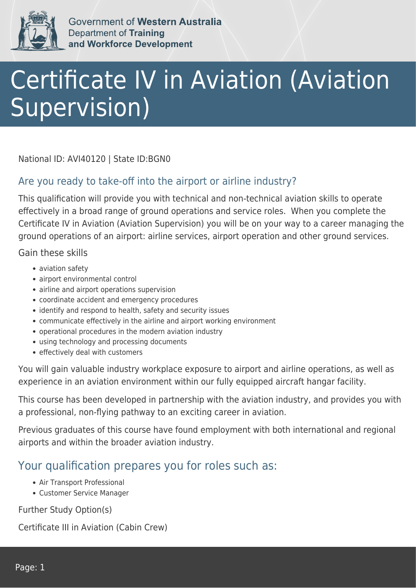

Government of Western Australia **Department of Training** and Workforce Development

## Certificate IV in Aviation (Aviation Supervision)

National ID: AVI40120 | State ID:BGN0

## Are you ready to take-off into the airport or airline industry?

This qualification will provide you with technical and non-technical aviation skills to operate effectively in a broad range of ground operations and service roles. When you complete the Certificate IV in Aviation (Aviation Supervision) you will be on your way to a career managing the ground operations of an airport: airline services, airport operation and other ground services.

Gain these skills

- aviation safety
- airport environmental control
- airline and airport operations supervision
- coordinate accident and emergency procedures
- identify and respond to health, safety and security issues
- communicate effectively in the airline and airport working environment
- operational procedures in the modern aviation industry
- using technology and processing documents
- effectively deal with customers

You will gain valuable industry workplace exposure to airport and airline operations, as well as experience in an aviation environment within our fully equipped aircraft hangar facility.

This course has been developed in partnership with the aviation industry, and provides you with a professional, non-flying pathway to an exciting career in aviation.

Previous graduates of this course have found employment with both international and regional airports and within the broader aviation industry.

## Your qualification prepares you for roles such as:

- Air Transport Professional
- Customer Service Manager

Further Study Option(s)

Certificate III in Aviation (Cabin Crew)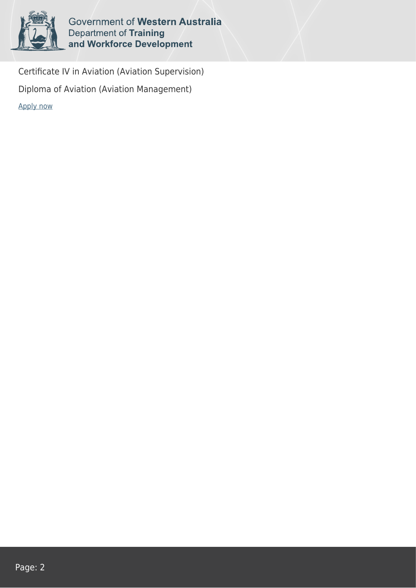

Government of Western Australia **Department of Training<br>and Workforce Development** 

Certificate IV in Aviation (Aviation Supervision) Diploma of Aviation (Aviation Management) [Apply now](https://tasonline.tafe.wa.edu.au/Default.aspx)